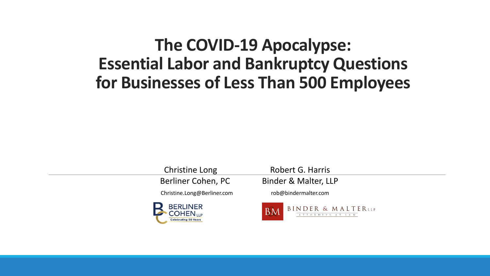## **The COVID-19 Apocalypse: Essential Labor and Bankruptcy Questions for Businesses of Less Than 500 Employees**

Christine Long Robert G. Harris



Berliner Cohen, PC Binder & Malter, LLP

Christine.Long@Berliner.com rob@bindermalter.com

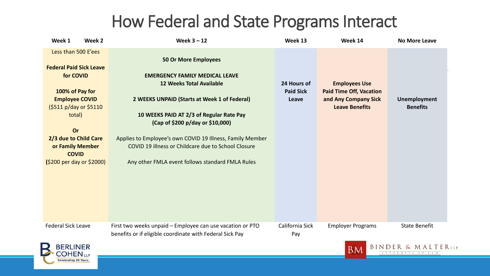## How Federal and State Programs Interact

| Week 1                                                                                                                                                                                                                                             | Week 2 | Week $3 - 12$                                                                                                                                                                                                                                                                                                                                                                                                   | Week 13                                  | Week 14                                                                                                 | <b>No More Leave</b>                   |
|----------------------------------------------------------------------------------------------------------------------------------------------------------------------------------------------------------------------------------------------------|--------|-----------------------------------------------------------------------------------------------------------------------------------------------------------------------------------------------------------------------------------------------------------------------------------------------------------------------------------------------------------------------------------------------------------------|------------------------------------------|---------------------------------------------------------------------------------------------------------|----------------------------------------|
| Less than 500 E'ees<br><b>Federal Paid Sick Leave</b><br>for COVID<br>100% of Pay for<br><b>Employee COVID</b><br>(\$511 p/day or \$5110<br>total)<br>Or<br>2/3 due to Child Care<br>or Family Member<br><b>COVID</b><br>(\$200 per day or \$2000) |        | <b>50 Or More Employees</b><br><b>EMERGENCY FAMILY MEDICAL LEAVE</b><br><b>12 Weeks Total Available</b><br>2 WEEKS UNPAID (Starts at Week 1 of Federal)<br>10 WEEKS PAID AT 2/3 of Regular Rate Pay<br>(Cap of \$200 p/day or \$10,000)<br>Applies to Employee's own COVID 19 Illness, Family Member<br>COVID 19 illness or Childcare due to School Closure<br>Any other FMLA event follows standard FMLA Rules | 24 Hours of<br><b>Paid Sick</b><br>Leave | <b>Employees Use</b><br><b>Paid Time Off, Vacation</b><br>and Any Company Sick<br><b>Leave Benefits</b> | <b>Unemployment</b><br><b>Benefits</b> |
| <b>Federal Sick Leave</b>                                                                                                                                                                                                                          |        | First two weeks unpaid - Employee can use vacation or PTO<br>benefits or if eligible coordinate with Federal Sick Pay                                                                                                                                                                                                                                                                                           | California Sick<br>Pay                   | <b>Employer Programs</b>                                                                                | <b>State Benefit</b>                   |



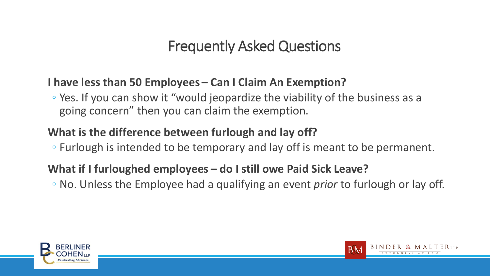#### **I have less than 50 Employees – Can I Claim An Exemption?**

◦ Yes. If you can show it "would jeopardize the viability of the business as a going concern" then you can claim the exemption.

#### **What is the difference between furlough and lay off?**

◦ Furlough is intended to be temporary and lay off is meant to be permanent.

#### **What if I furloughed employees – do I still owe Paid Sick Leave?**

◦ No. Unless the Employee had a qualifying an event *prior* to furlough or lay off.



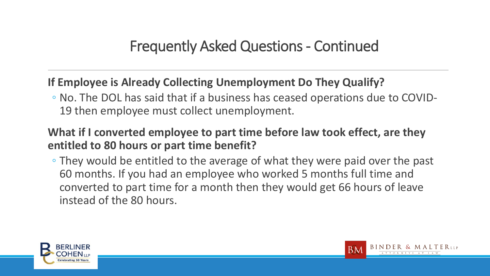#### **If Employee is Already Collecting Unemployment Do They Qualify?**

◦ No. The DOL has said that if a business has ceased operations due to COVID-19 then employee must collect unemployment.

#### **What if I converted employee to part time before law took effect, are they entitled to 80 hours or part time benefit?**

◦ They would be entitled to the average of what they were paid over the past 60 months. If you had an employee who worked 5 months full time and converted to part time for a month then they would get 66 hours of leave instead of the 80 hours.



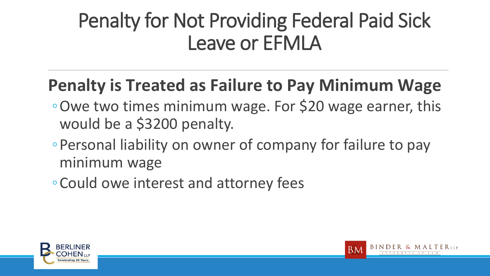# Penalty for Not Providing Federal Paid Sick Leave or EFMLA

# **Penalty is Treated as Failure to Pay Minimum Wage**

- ◦Owe two times minimum wage. For \$20 wage earner, this would be a \$3200 penalty.
- ◦Personal liability on owner of company for failure to pay minimum wage
- ◦Could owe interest and attorney fees



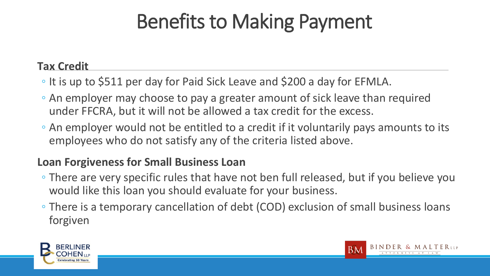# Benefits to Making Payment

#### **Tax Credit**

- It is up to \$511 per day for Paid Sick Leave and \$200 a day for EFMLA.
- An employer may choose to pay a greater amount of sick leave than required under FFCRA, but it will not be allowed a tax credit for the excess.
- An employer would not be entitled to a credit if it voluntarily pays amounts to its employees who do not satisfy any of the criteria listed above.

#### **Loan Forgiveness for Small Business Loan**

- There are very specific rules that have not ben full released, but if you believe you would like this loan you should evaluate for your business.
- There is a temporary cancellation of debt (COD) exclusion of small business loans forgiven



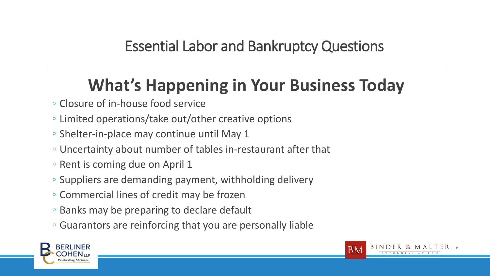# **What's Happening in Your Business Today**

- Closure of in-house food service
- Limited operations/take out/other creative options
- Shelter-in-place may continue until May 1
- Uncertainty about number of tables in-restaurant after that
- Rent is coming due on April 1
- Suppliers are demanding payment, withholding delivery
- Commercial lines of credit may be frozen
- Banks may be preparing to declare default
- Guarantors are reinforcing that you are personally liable



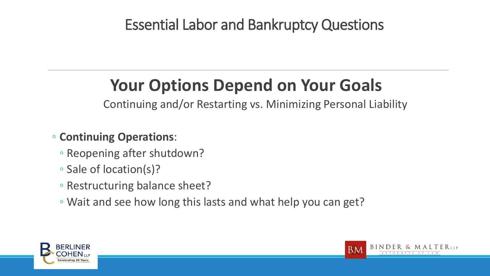# **Your Options Depend on Your Goals**

Continuing and/or Restarting vs. Minimizing Personal Liability

#### ◦ **Continuing Operations**:

- Reopening after shutdown?
- Sale of location(s)?
- Restructuring balance sheet?
- Wait and see how long this lasts and what help you can get?



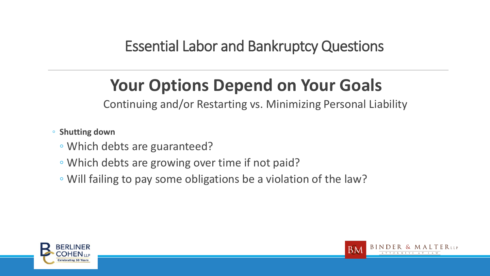# **Your Options Depend on Your Goals**

Continuing and/or Restarting vs. Minimizing Personal Liability

- **Shutting down** 
	- Which debts are guaranteed?
	- Which debts are growing over time if not paid?
	- Will failing to pay some obligations be a violation of the law?



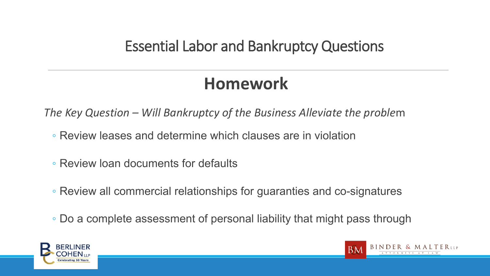# **Homework**

*The Key Question – Will Bankruptcy of the Business Alleviate the proble*m

- Review leases and determine which clauses are in violation
- Review loan documents for defaults
- Review all commercial relationships for guaranties and co-signatures
- Do a complete assessment of personal liability that might pass through



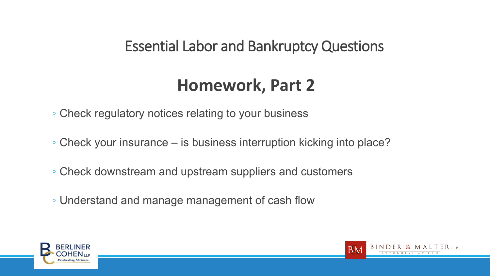# **Homework, Part 2**

- Check regulatory notices relating to your business
- Check your insurance is business interruption kicking into place?
- Check downstream and upstream suppliers and customers
- Understand and manage management of cash flow



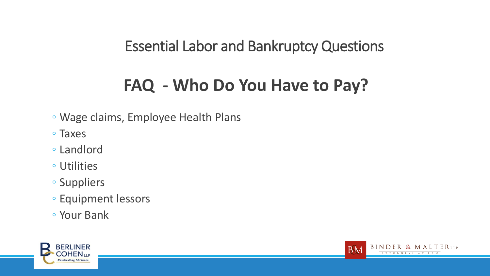# **FAQ - Who Do You Have to Pay?**

- Wage claims, Employee Health Plans
- Taxes
- Landlord
- Utilities
- Suppliers
- Equipment lessors
- Your Bank



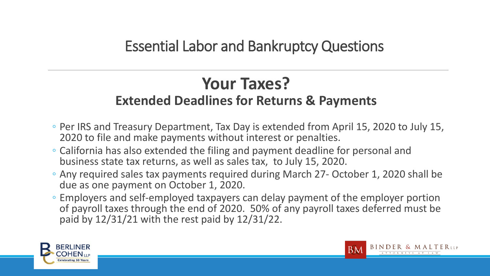## **Your Taxes? Extended Deadlines for Returns & Payments**

- Per IRS and Treasury Department, Tax Day is extended from April 15, 2020 to July 15, 2020 to file and make payments without interest or penalties.
- California has also extended the filing and payment deadline for personal and business state tax returns, as well as sales tax, to July 15, 2020.
- Any required sales tax payments required during March 27- October 1, 2020 shall be due as one payment on October 1, 2020.
- Employers and self-employed taxpayers can delay payment of the employer portion of payroll taxes through the end of 2020. 50% of any payroll taxes deferred must be paid by 12/31/21 with the rest paid by 12/31/22.



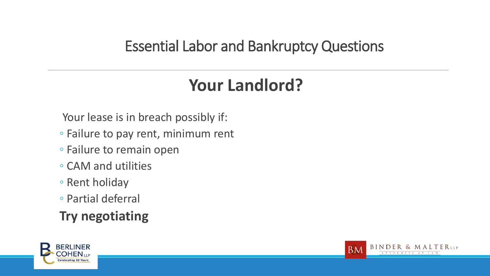# **Your Landlord?**

Your lease is in breach possibly if:

- Failure to pay rent, minimum rent
- Failure to remain open
- CAM and utilities
- Rent holiday
- Partial deferral

### **Try negotiating**



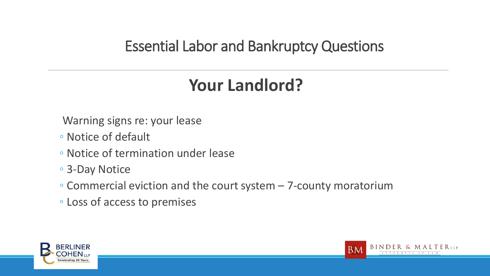# **Your Landlord?**

- Warning signs re: your lease
- Notice of default
- Notice of termination under lease
- 3-Day Notice
- Commercial eviction and the court system 7-county moratorium
- Loss of access to premises



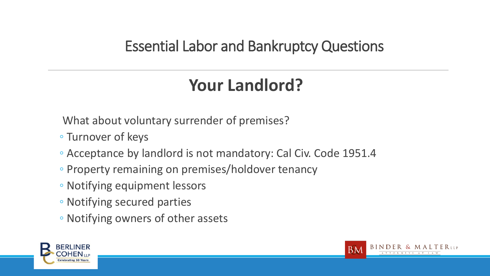# **Your Landlord?**

What about voluntary surrender of premises?

- Turnover of keys
- Acceptance by landlord is not mandatory: Cal Civ. Code 1951.4
- Property remaining on premises/holdover tenancy
- Notifying equipment lessors
- Notifying secured parties
- Notifying owners of other assets



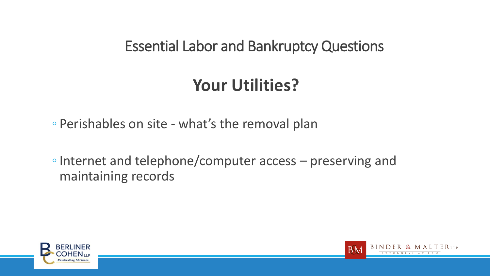# **Your Utilities?**

◦ Perishables on site - what's the removal plan

◦Internet and telephone/computer access – preserving and maintaining records



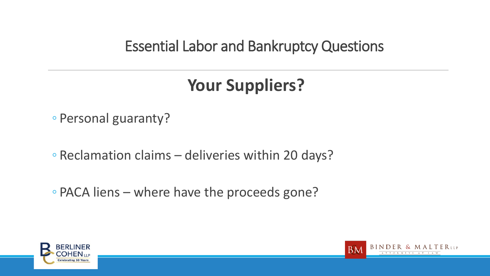# **Your Suppliers?**

◦ Personal guaranty?

◦ Reclamation claims – deliveries within 20 days?

◦ PACA liens – where have the proceeds gone?



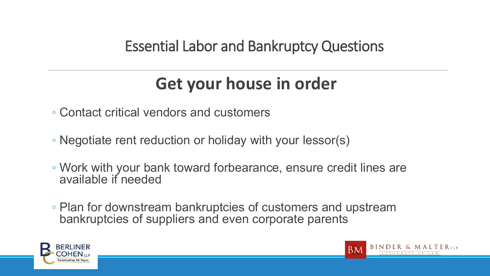# **Get your house in order**

◦ Contact critical vendors and customers

- Negotiate rent reduction or holiday with your lessor(s)
- Work with your bank toward forbearance, ensure credit lines are available if needed
- Plan for downstream bankruptcies of customers and upstream bankruptcies of suppliers and even corporate parents



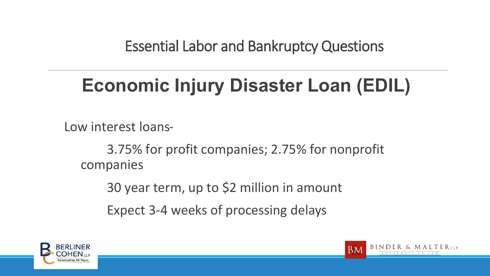# **Economic Injury Disaster Loan (EDIL)**

Low interest loans-

3.75% for profit companies; 2.75% for nonprofit companies

30 year term, up to \$2 million in amount

Expect 3-4 weeks of processing delays



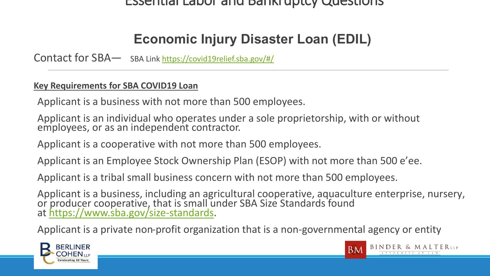#### **Economic Injury Disaster Loan (EDIL)**

Contact for SBA— SBA Link<https://covid19relief.sba.gov/#/>

#### **Key Requirements for SBA COVID19 Loan**

Applicant is a business with not more than 500 employees.

Applicant is an individual who operates under a sole proprietorship, with or without employees, or as an independent contractor.

Applicant is a cooperative with not more than 500 employees.

Applicant is an Employee Stock Ownership Plan (ESOP) with not more than 500 e'ee.

Applicant is a tribal small business concern with not more than 500 employees.

Applicant is a business, including an agricultural cooperative, aquaculture enterprise, nursery, or producer cooperative, that is small under SBA Size Standards found at [https://www.sba.gov/size-standards.](https://www.sba.gov/size-standards)

Applicant is a private non-profit organization that is a non-governmental agency or entity



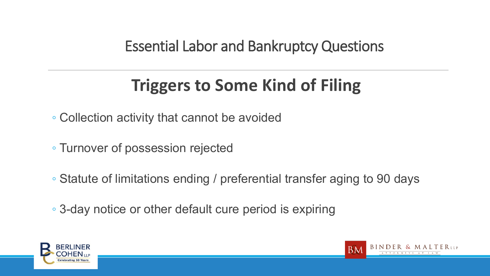# **Triggers to Some Kind of Filing**

- Collection activity that cannot be avoided
- Turnover of possession rejected
- Statute of limitations ending / preferential transfer aging to 90 days
- 3-day notice or other default cure period is expiring



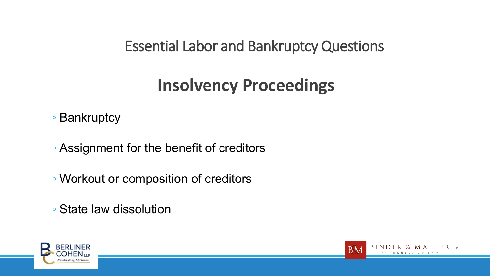# **Insolvency Proceedings**

◦ Bankruptcy

◦ Assignment for the benefit of creditors

◦ Workout or composition of creditors

◦ State law dissolution



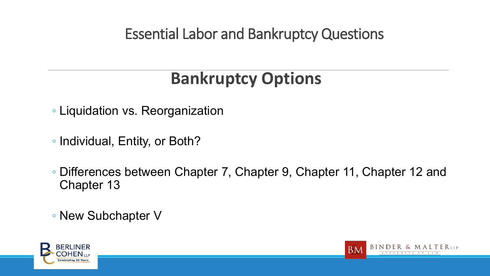# **Bankruptcy Options**

- Liquidation vs. Reorganization
- Individual, Entity, or Both?
- Differences between Chapter 7, Chapter 9, Chapter 11, Chapter 12 and Chapter 13
- New Subchapter V



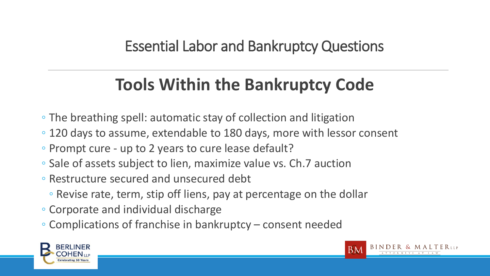# **Tools Within the Bankruptcy Code**

- The breathing spell: automatic stay of collection and litigation
- 120 days to assume, extendable to 180 days, more with lessor consent
- Prompt cure up to 2 years to cure lease default?
- Sale of assets subject to lien, maximize value vs. Ch.7 auction
- Restructure secured and unsecured debt
	- Revise rate, term, stip off liens, pay at percentage on the dollar
- Corporate and individual discharge
- Complications of franchise in bankruptcy consent needed



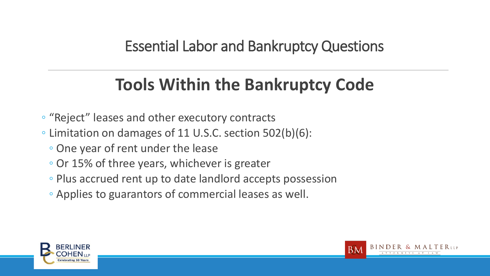# **Tools Within the Bankruptcy Code**

- "Reject" leases and other executory contracts
- Limitation on damages of 11 U.S.C. section 502(b)(6):
	- One year of rent under the lease
	- Or 15% of three years, whichever is greater
	- Plus accrued rent up to date landlord accepts possession
	- Applies to guarantors of commercial leases as well.



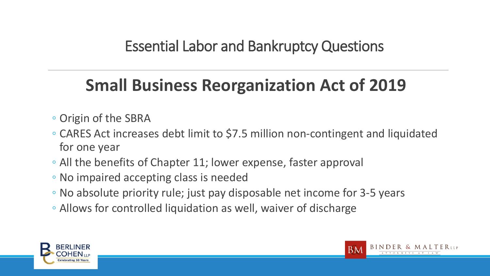# **Small Business Reorganization Act of 2019**

- Origin of the SBRA
- CARES Act increases debt limit to \$7.5 million non-contingent and liquidated for one year
- All the benefits of Chapter 11; lower expense, faster approval
- No impaired accepting class is needed
- No absolute priority rule; just pay disposable net income for 3-5 years
- Allows for controlled liquidation as well, waiver of discharge



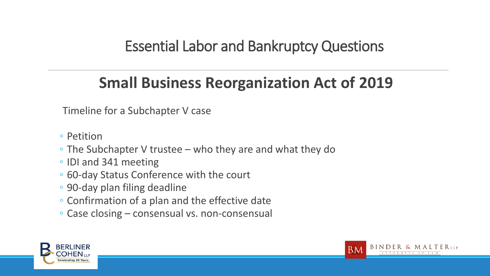## **Small Business Reorganization Act of 2019**

Timeline for a Subchapter V case

- Petition
- The Subchapter V trustee who they are and what they do
- IDI and 341 meeting
- 60-day Status Conference with the court
- 90-day plan filing deadline
- Confirmation of a plan and the effective date
- Case closing consensual vs. non-consensual



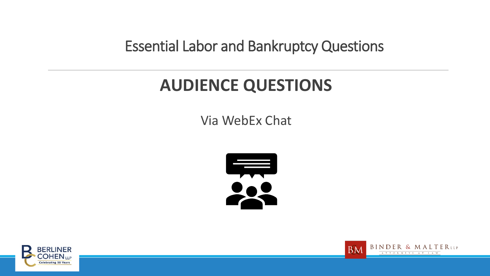# **AUDIENCE QUESTIONS**

Via WebEx Chat





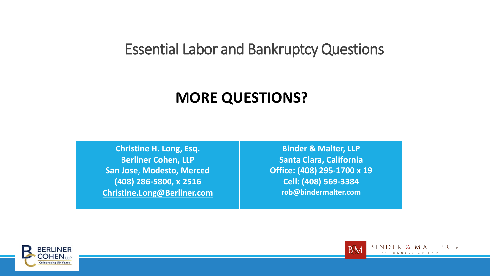### **MORE QUESTIONS?**

**Christine H. Long, Esq. Berliner Cohen, LLP San Jose, Modesto, Merced (408) 286-5800, x 2516 [Christine.Long@Berliner.com](mailto:Christine.Long@Berliner.com)**

**Binder & Malter, LLP Santa Clara, California Office: (408) 295-1700 x 19 Cell: (408) 569-3384 [rob@bindermalter.com](mailto:rob@bindermalter.com)**



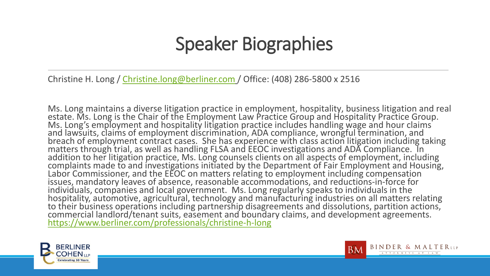# Speaker Biographies

Christine H. Long / [Christine.long@berliner.com](mailto:Christine.long@berliner.com) / Office: (408) 286-5800 x 2516

Ms. Long maintains a diverse litigation practice in employment, hospitality, business litigation and real estate. Ms. Long is the Chair of the Employment Law Practice Group and Hospitality Practice Group. Ms. Long's employment and hospitality litigation practice includes handling wage and hour claims and lawsuits, claims of employment discrimination, ADA compliance, wrongful termination, and breach of employment contract cases. She has experience with class action litigation including taking<br>matters through trial, as well as handling FLSA and EEOC investigations and ADA Compliance. In addition to her litigation practice, Ms. Long counsels clients on all aspects of employment, including complaints made to and investigations initiated by the Department of Fair Employment and Housing, Labor Commissioner, and the EEOC on matters relating to employment including compensation issues, mandatory leaves of absence, reasonable accommodations, and reductions-in-force for individuals, companies and local government. Ms. Long regularly speaks to individuals in the<br>hospitality, automotive, agricultural, technology and manufacturing industries on all matters relating to their business operations including partnership disagreements and dissolutions, partition actions, commercial landlord/tenant suits, easement and boundary claims, and development agreements. <https://www.berliner.com/professionals/christine-h-long>